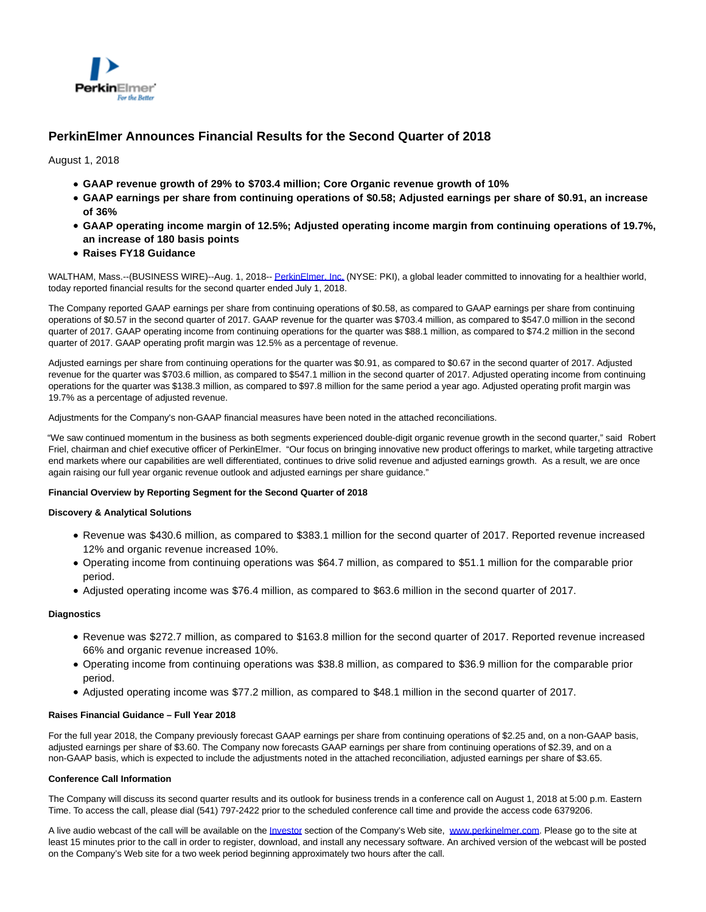

# **PerkinElmer Announces Financial Results for the Second Quarter of 2018**

August 1, 2018

- **GAAP revenue growth of 29% to \$703.4 million; Core Organic revenue growth of 10%**
- **GAAP earnings per share from continuing operations of \$0.58; Adjusted earnings per share of \$0.91, an increase of 36%**
- **GAAP operating income margin of 12.5%; Adjusted operating income margin from continuing operations of 19.7%, an increase of 180 basis points**
- **Raises FY18 Guidance**

WALTHAM, Mass.--(BUSINESS WIRE)--Aug. 1, 2018-[- PerkinElmer, Inc. \(](http://cts.businesswire.com/ct/CT?id=smartlink&url=http%3A%2F%2Fwww.perkinelmer.com%2F&esheet=51846759&newsitemid=20180801005998&lan=en-US&anchor=PerkinElmer%2C+Inc.&index=1&md5=1da8a86a2aba81e9640bd82839f931b1)NYSE: PKI), a global leader committed to innovating for a healthier world, today reported financial results for the second quarter ended July 1, 2018.

The Company reported GAAP earnings per share from continuing operations of \$0.58, as compared to GAAP earnings per share from continuing operations of \$0.57 in the second quarter of 2017. GAAP revenue for the quarter was \$703.4 million, as compared to \$547.0 million in the second quarter of 2017. GAAP operating income from continuing operations for the quarter was \$88.1 million, as compared to \$74.2 million in the second quarter of 2017. GAAP operating profit margin was 12.5% as a percentage of revenue.

Adjusted earnings per share from continuing operations for the quarter was \$0.91, as compared to \$0.67 in the second quarter of 2017. Adjusted revenue for the quarter was \$703.6 million, as compared to \$547.1 million in the second quarter of 2017. Adjusted operating income from continuing operations for the quarter was \$138.3 million, as compared to \$97.8 million for the same period a year ago. Adjusted operating profit margin was 19.7% as a percentage of adjusted revenue.

Adjustments for the Company's non-GAAP financial measures have been noted in the attached reconciliations.

"We saw continued momentum in the business as both segments experienced double-digit organic revenue growth in the second quarter," said Robert Friel, chairman and chief executive officer of PerkinElmer. "Our focus on bringing innovative new product offerings to market, while targeting attractive end markets where our capabilities are well differentiated, continues to drive solid revenue and adjusted earnings growth. As a result, we are once again raising our full year organic revenue outlook and adjusted earnings per share guidance."

#### **Financial Overview by Reporting Segment for the Second Quarter of 2018**

#### **Discovery & Analytical Solutions**

- Revenue was \$430.6 million, as compared to \$383.1 million for the second quarter of 2017. Reported revenue increased 12% and organic revenue increased 10%.
- Operating income from continuing operations was \$64.7 million, as compared to \$51.1 million for the comparable prior period.
- Adjusted operating income was \$76.4 million, as compared to \$63.6 million in the second quarter of 2017.

#### **Diagnostics**

- Revenue was \$272.7 million, as compared to \$163.8 million for the second quarter of 2017. Reported revenue increased 66% and organic revenue increased 10%.
- Operating income from continuing operations was \$38.8 million, as compared to \$36.9 million for the comparable prior period.
- Adjusted operating income was \$77.2 million, as compared to \$48.1 million in the second quarter of 2017.

#### **Raises Financial Guidance – Full Year 2018**

For the full year 2018, the Company previously forecast GAAP earnings per share from continuing operations of \$2.25 and, on a non-GAAP basis, adjusted earnings per share of \$3.60. The Company now forecasts GAAP earnings per share from continuing operations of \$2.39, and on a non-GAAP basis, which is expected to include the adjustments noted in the attached reconciliation, adjusted earnings per share of \$3.65.

#### **Conference Call Information**

The Company will discuss its second quarter results and its outlook for business trends in a conference call on August 1, 2018 at 5:00 p.m. Eastern Time. To access the call, please dial (541) 797-2422 prior to the scheduled conference call time and provide the access code 6379206.

A live audio webcast of the call will be available on the [Investor s](http://cts.businesswire.com/ct/CT?id=smartlink&url=http%3A%2F%2Fwww.perkinelmer.com%2Fcorporate%2Finvestors%2F&esheet=51846759&newsitemid=20180801005998&lan=en-US&anchor=Investor&index=2&md5=47ae18b8c74292d6d56daee07bcf52db)ection of the Company's Web site, [www.perkinelmer.com.](http://cts.businesswire.com/ct/CT?id=smartlink&url=http%3A%2F%2Fwww.perkinelmer.com&esheet=51846759&newsitemid=20180801005998&lan=en-US&anchor=www.perkinelmer.com&index=3&md5=c69489b40591b1c944dd1200e7451e5a) Please go to the site at least 15 minutes prior to the call in order to register, download, and install any necessary software. An archived version of the webcast will be posted on the Company's Web site for a two week period beginning approximately two hours after the call.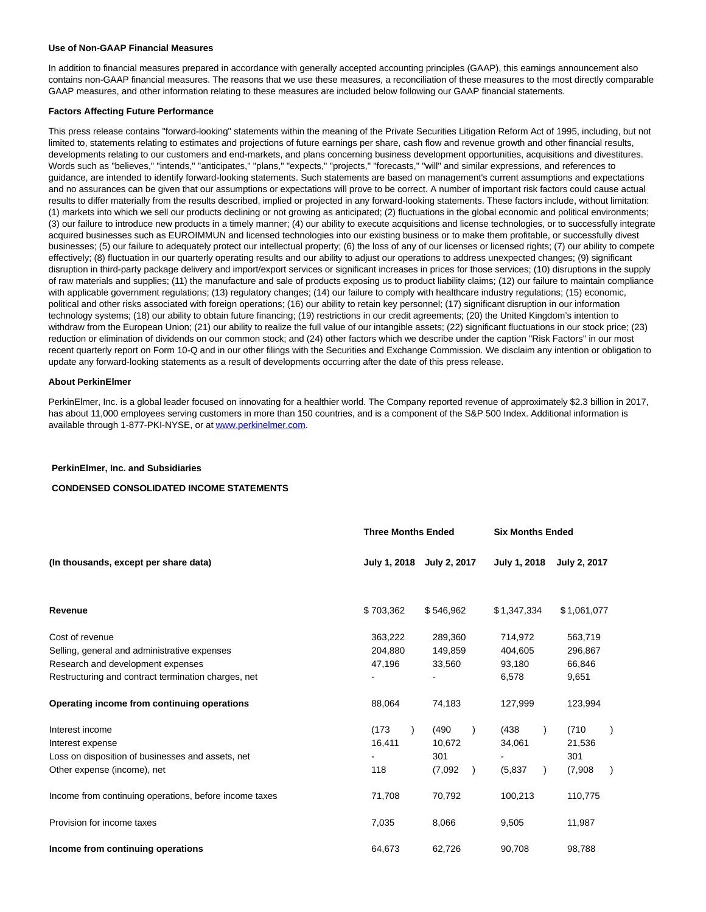#### **Use of Non-GAAP Financial Measures**

In addition to financial measures prepared in accordance with generally accepted accounting principles (GAAP), this earnings announcement also contains non-GAAP financial measures. The reasons that we use these measures, a reconciliation of these measures to the most directly comparable GAAP measures, and other information relating to these measures are included below following our GAAP financial statements.

#### **Factors Affecting Future Performance**

This press release contains "forward-looking" statements within the meaning of the Private Securities Litigation Reform Act of 1995, including, but not limited to, statements relating to estimates and projections of future earnings per share, cash flow and revenue growth and other financial results, developments relating to our customers and end-markets, and plans concerning business development opportunities, acquisitions and divestitures. Words such as "believes," "intends," "anticipates," "plans," "expects," "projects," "forecasts," "will" and similar expressions, and references to guidance, are intended to identify forward-looking statements. Such statements are based on management's current assumptions and expectations and no assurances can be given that our assumptions or expectations will prove to be correct. A number of important risk factors could cause actual results to differ materially from the results described, implied or projected in any forward-looking statements. These factors include, without limitation: (1) markets into which we sell our products declining or not growing as anticipated; (2) fluctuations in the global economic and political environments; (3) our failure to introduce new products in a timely manner; (4) our ability to execute acquisitions and license technologies, or to successfully integrate acquired businesses such as EUROIMMUN and licensed technologies into our existing business or to make them profitable, or successfully divest businesses; (5) our failure to adequately protect our intellectual property; (6) the loss of any of our licenses or licensed rights; (7) our ability to compete effectively; (8) fluctuation in our quarterly operating results and our ability to adjust our operations to address unexpected changes; (9) significant disruption in third-party package delivery and import/export services or significant increases in prices for those services; (10) disruptions in the supply of raw materials and supplies; (11) the manufacture and sale of products exposing us to product liability claims; (12) our failure to maintain compliance with applicable government regulations; (13) regulatory changes; (14) our failure to comply with healthcare industry regulations; (15) economic, political and other risks associated with foreign operations; (16) our ability to retain key personnel; (17) significant disruption in our information technology systems; (18) our ability to obtain future financing; (19) restrictions in our credit agreements; (20) the United Kingdom's intention to withdraw from the European Union; (21) our ability to realize the full value of our intangible assets; (22) significant fluctuations in our stock price; (23) reduction or elimination of dividends on our common stock; and (24) other factors which we describe under the caption "Risk Factors" in our most recent quarterly report on Form 10-Q and in our other filings with the Securities and Exchange Commission. We disclaim any intention or obligation to update any forward-looking statements as a result of developments occurring after the date of this press release.

#### **About PerkinElmer**

PerkinElmer, Inc. is a global leader focused on innovating for a healthier world. The Company reported revenue of approximately \$2.3 billion in 2017, has about 11,000 employees serving customers in more than 150 countries, and is a component of the S&P 500 Index. Additional information is available through 1-877-PKI-NYSE, or a[t www.perkinelmer.com.](http://cts.businesswire.com/ct/CT?id=smartlink&url=http%3A%2F%2Fwww.perkinelmer.com&esheet=51846759&newsitemid=20180801005998&lan=en-US&anchor=www.perkinelmer.com&index=4&md5=6371e3ac8bcd965a9c72dac891685471)

#### **PerkinElmer, Inc. and Subsidiaries**

### **CONDENSED CONSOLIDATED INCOME STATEMENTS**

| (In thousands, except per share data)                  | <b>Three Months Ended</b> |                      | <b>Six Months Ended</b> |              |  |  |  |
|--------------------------------------------------------|---------------------------|----------------------|-------------------------|--------------|--|--|--|
|                                                        | July 1, 2018              | July 2, 2017         | <b>July 1, 2018</b>     | July 2, 2017 |  |  |  |
| Revenue                                                | \$703,362                 | \$546,962            | \$1,347,334             | \$1,061,077  |  |  |  |
| Cost of revenue                                        | 363,222                   | 289,360              | 714,972                 | 563,719      |  |  |  |
| Selling, general and administrative expenses           | 204,880                   | 149,859              | 404,605                 | 296,867      |  |  |  |
| Research and development expenses                      | 47,196                    | 33,560               | 93,180                  | 66,846       |  |  |  |
| Restructuring and contract termination charges, net    |                           |                      | 6,578                   | 9,651        |  |  |  |
| Operating income from continuing operations            | 88,064                    | 74,183               | 127,999                 | 123,994      |  |  |  |
| Interest income                                        | (173)                     | (490)                | (438)                   | (710)        |  |  |  |
| Interest expense                                       | 16,411                    | 10,672               | 34,061                  | 21,536       |  |  |  |
| Loss on disposition of businesses and assets, net      |                           | 301                  |                         | 301          |  |  |  |
| Other expense (income), net                            | 118                       | (7,092)<br>$\lambda$ | (5,837)                 | (7,908)      |  |  |  |
| Income from continuing operations, before income taxes | 71,708                    | 70,792               | 100,213                 | 110,775      |  |  |  |
| Provision for income taxes                             | 7,035                     | 8,066                | 9,505                   | 11,987       |  |  |  |
| Income from continuing operations                      | 64.673                    | 62,726               | 90,708                  | 98.788       |  |  |  |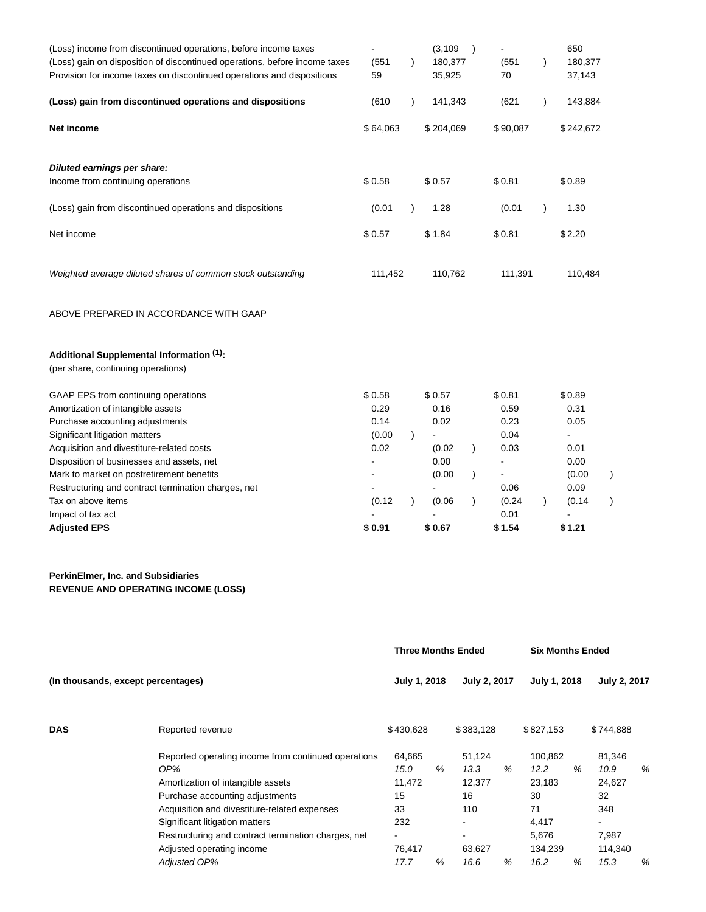| (Loss) income from discontinued operations, before income taxes            |          |               | (3, 109)       | $\lambda$     |                |               | 650       |               |
|----------------------------------------------------------------------------|----------|---------------|----------------|---------------|----------------|---------------|-----------|---------------|
| (Loss) gain on disposition of discontinued operations, before income taxes | (551)    | $\lambda$     | 180,377        |               | (551)          | $\lambda$     | 180,377   |               |
| Provision for income taxes on discontinued operations and dispositions     | 59       |               | 35,925         |               | 70             |               | 37,143    |               |
| (Loss) gain from discontinued operations and dispositions                  | (610)    | $\lambda$     | 141,343        |               | (621)          | $\lambda$     | 143,884   |               |
| Net income                                                                 | \$64,063 |               | \$204,069      |               | \$90,087       |               | \$242,672 |               |
| <b>Diluted earnings per share:</b>                                         |          |               |                |               |                |               |           |               |
| Income from continuing operations                                          | \$0.58   |               | \$0.57         |               | \$0.81         |               | \$0.89    |               |
| (Loss) gain from discontinued operations and dispositions                  | (0.01)   | $\lambda$     | 1.28           |               | (0.01)         | $\lambda$     | 1.30      |               |
| Net income                                                                 | \$0.57   |               | \$1.84         |               | \$0.81         |               | \$2.20    |               |
| Weighted average diluted shares of common stock outstanding                | 111,452  |               | 110,762        |               | 111,391        |               | 110,484   |               |
| ABOVE PREPARED IN ACCORDANCE WITH GAAP                                     |          |               |                |               |                |               |           |               |
| Additional Supplemental Information (1):                                   |          |               |                |               |                |               |           |               |
| (per share, continuing operations)                                         |          |               |                |               |                |               |           |               |
| GAAP EPS from continuing operations                                        | \$0.58   |               | \$0.57         |               | \$0.81         |               | \$0.89    |               |
| Amortization of intangible assets                                          | 0.29     |               | 0.16           |               | 0.59           |               | 0.31      |               |
| Purchase accounting adjustments                                            | 0.14     |               | 0.02           |               | 0.23           |               | 0.05      |               |
| Significant litigation matters                                             | (0.00)   | $\mathcal{E}$ | $\overline{a}$ |               | 0.04           |               | ä,        |               |
| Acquisition and divestiture-related costs                                  | 0.02     |               | (0.02)         | $\mathcal{E}$ | 0.03           |               | 0.01      |               |
| Disposition of businesses and assets, net                                  |          |               | 0.00           |               | $\blacksquare$ |               | 0.00      |               |
| Mark to market on postretirement benefits                                  |          |               | (0.00)         | $\mathcal{E}$ | $\blacksquare$ |               | (0.00)    | $\mathcal{E}$ |
| Restructuring and contract termination charges, net                        |          |               |                |               | 0.06           |               | 0.09      |               |
| Tax on above items                                                         | (0.12)   | $\lambda$     | (0.06)         | $\mathcal{E}$ | (0.24)         | $\mathcal{E}$ | (0.14)    |               |
| Impact of tax act                                                          |          |               |                |               | 0.01           |               |           |               |
| <b>Adjusted EPS</b>                                                        | \$0.91   |               | \$0.67         |               | \$1.54         |               | \$1.21    |               |
|                                                                            |          |               |                |               |                |               |           |               |

## **PerkinElmer, Inc. and Subsidiaries REVENUE AND OPERATING INCOME (LOSS)**

|                                    |                                                                                                                                                                                    |                                         |   | <b>Three Months Ended</b>             | <b>Six Months Ended</b> |                                       |   |                                            |   |
|------------------------------------|------------------------------------------------------------------------------------------------------------------------------------------------------------------------------------|-----------------------------------------|---|---------------------------------------|-------------------------|---------------------------------------|---|--------------------------------------------|---|
| (In thousands, except percentages) |                                                                                                                                                                                    | July 1, 2018                            |   | July 2, 2017                          |                         | July 1, 2018                          |   | July 2, 2017                               |   |
| <b>DAS</b>                         | Reported revenue                                                                                                                                                                   | \$430,628                               |   | \$383,128                             |                         | \$827,153                             |   | \$744,888                                  |   |
|                                    | Reported operating income from continued operations<br>OP%<br>Amortization of intangible assets<br>Purchase accounting adjustments<br>Acquisition and divestiture-related expenses | 64,665<br>15.0<br>11,472<br>15<br>33    | % | 51,124<br>13.3<br>12,377<br>16<br>110 | ℅                       | 100,862<br>12.2<br>23,183<br>30<br>71 | % | 81,346<br>10.9<br>24,627<br>32<br>348      | % |
|                                    | Significant litigation matters<br>Restructuring and contract termination charges, net<br>Adjusted operating income<br>Adjusted OP%                                                 | 232<br>$\blacksquare$<br>76,417<br>17.7 | % | ۰<br>63,627<br>16.6                   | %                       | 4,417<br>5,676<br>134,239<br>16.2     | % | $\blacksquare$<br>7,987<br>114,340<br>15.3 | % |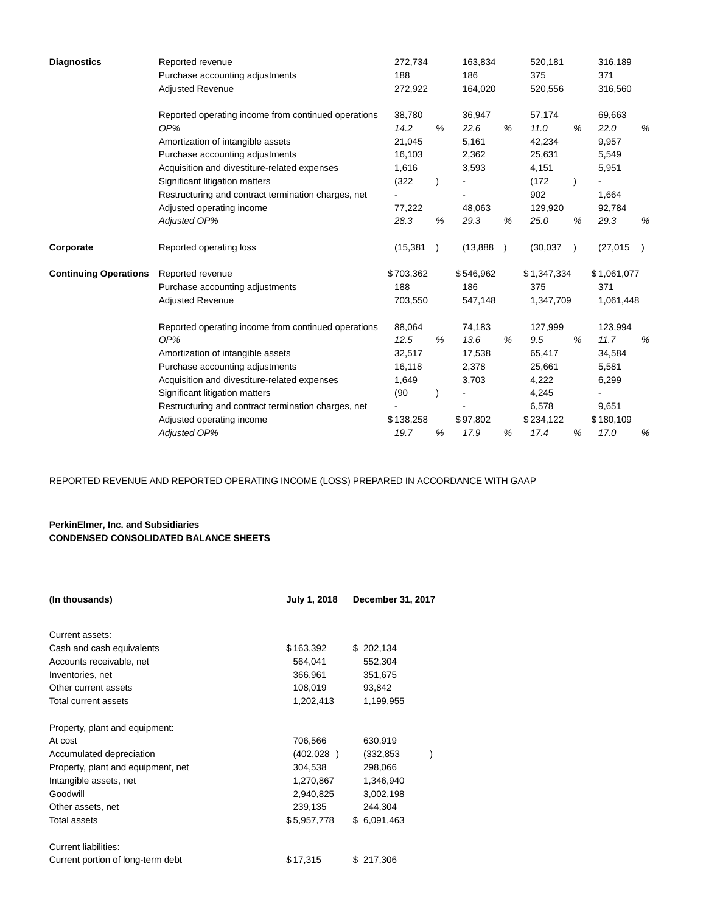| <b>Diagnostics</b>           | Reported revenue<br>Purchase accounting adjustments<br><b>Adjusted Revenue</b> |           |   | 163,834<br>186<br>164,020 |   | 520,181<br>375<br>520,556 |   | 316,189<br>371<br>316,560 |               |
|------------------------------|--------------------------------------------------------------------------------|-----------|---|---------------------------|---|---------------------------|---|---------------------------|---------------|
|                              | Reported operating income from continued operations                            | 38,780    |   | 36,947                    |   | 57,174                    |   | 69,663                    |               |
|                              | OP%                                                                            | 14.2      | % | 22.6                      | % | 11.0                      | % | 22.0                      | $\%$          |
|                              | Amortization of intangible assets                                              | 21,045    |   | 5,161                     |   | 42,234                    |   | 9,957                     |               |
|                              | Purchase accounting adjustments                                                | 16,103    |   | 2,362                     |   | 25,631                    |   | 5,549                     |               |
|                              | Acquisition and divestiture-related expenses                                   | 1,616     |   | 3,593                     |   | 4,151                     |   | 5,951                     |               |
|                              | Significant litigation matters                                                 | (322)     |   |                           |   | (172)                     |   |                           |               |
|                              | Restructuring and contract termination charges, net                            |           |   |                           |   | 902                       |   | 1,664                     |               |
|                              | Adjusted operating income                                                      | 77,222    |   | 48,063                    |   | 129,920                   |   | 92,784                    |               |
|                              | Adjusted OP%                                                                   | 28.3      | % | 29.3                      | % | 25.0                      | % | 29.3                      | $\%$          |
| Corporate                    | Reported operating loss                                                        | (15, 381) |   | (13,888)                  |   | (30,037)                  |   | (27, 015)                 | $\rightarrow$ |
| <b>Continuing Operations</b> | Reported revenue                                                               | \$703,362 |   | \$546,962                 |   | \$1,347,334               |   | \$1,061,077               |               |
|                              | Purchase accounting adjustments                                                | 188       |   | 186                       |   | 375                       |   | 371                       |               |
|                              | <b>Adjusted Revenue</b>                                                        | 703,550   |   | 547,148                   |   | 1,347,709                 |   | 1,061,448                 |               |
|                              | Reported operating income from continued operations                            | 88,064    |   | 74,183                    |   | 127,999                   |   | 123,994                   |               |
|                              | OP%                                                                            | 12.5      | % | 13.6                      | % | 9.5                       | % | 11.7                      | %             |
|                              | Amortization of intangible assets                                              | 32,517    |   | 17,538                    |   | 65,417                    |   | 34,584                    |               |
|                              | Purchase accounting adjustments                                                | 16,118    |   | 2,378                     |   | 25,661                    |   | 5,581                     |               |
|                              | Acquisition and divestiture-related expenses                                   | 1,649     |   | 3,703                     |   | 4,222                     |   | 6,299                     |               |
|                              | Significant litigation matters                                                 | (90)      |   |                           |   | 4,245                     |   |                           |               |
|                              | Restructuring and contract termination charges, net                            |           |   |                           |   | 6,578                     |   | 9,651                     |               |
|                              | Adjusted operating income                                                      | \$138,258 |   | \$97,802                  |   | \$234,122                 |   | \$180,109                 |               |
|                              | Adjusted OP%                                                                   | 19.7      | % | 17.9                      | % | 17.4                      | % | 17.0                      | %             |

REPORTED REVENUE AND REPORTED OPERATING INCOME (LOSS) PREPARED IN ACCORDANCE WITH GAAP

#### **PerkinElmer, Inc. and Subsidiaries CONDENSED CONSOLIDATED BALANCE SHEETS**

| (In thousands)                     | December 31, 2017<br>July 1, 2018 |               |  |  |
|------------------------------------|-----------------------------------|---------------|--|--|
|                                    |                                   |               |  |  |
| Current assets:                    |                                   |               |  |  |
| Cash and cash equivalents          | \$163,392                         | \$202,134     |  |  |
| Accounts receivable, net           | 564,041                           | 552,304       |  |  |
| Inventories, net                   | 366,961                           | 351,675       |  |  |
| Other current assets               | 108,019                           | 93,842        |  |  |
| Total current assets               | 1,202,413                         | 1,199,955     |  |  |
| Property, plant and equipment:     |                                   |               |  |  |
| At cost                            | 706,566                           | 630,919       |  |  |
| Accumulated depreciation           | (402, 028)                        | (332, 853)    |  |  |
| Property, plant and equipment, net | 304,538                           | 298,066       |  |  |
| Intangible assets, net             | 1,270,867                         | 1,346,940     |  |  |
| Goodwill                           | 2,940,825                         | 3,002,198     |  |  |
| Other assets, net                  | 239,135                           | 244,304       |  |  |
| Total assets                       | \$5,957,778                       | \$6,091,463   |  |  |
| <b>Current liabilities:</b>        |                                   |               |  |  |
| Current portion of long-term debt  | \$17,315                          | 217,306<br>\$ |  |  |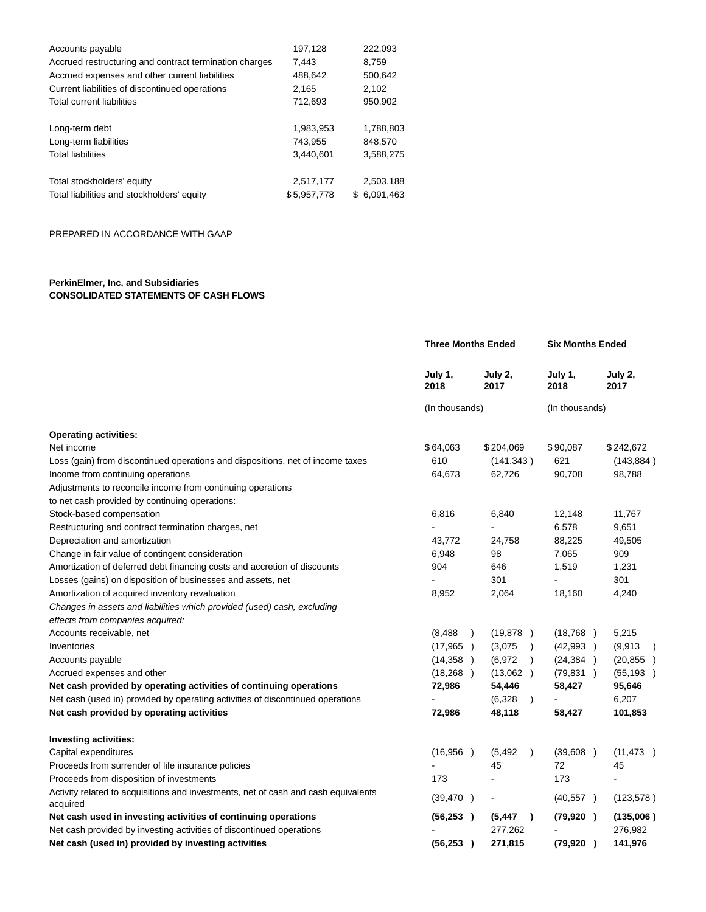| Accounts payable                                       | 197,128     | 222,093     |
|--------------------------------------------------------|-------------|-------------|
| Accrued restructuring and contract termination charges | 7.443       | 8,759       |
| Accrued expenses and other current liabilities         | 488,642     | 500.642     |
| Current liabilities of discontinued operations         | 2.165       | 2,102       |
| Total current liabilities                              | 712,693     | 950,902     |
|                                                        |             |             |
| Long-term debt                                         | 1,983,953   | 1,788,803   |
| Long-term liabilities                                  | 743,955     | 848,570     |
| <b>Total liabilities</b>                               | 3.440.601   | 3.588.275   |
|                                                        |             |             |
| Total stockholders' equity                             | 2,517,177   | 2.503.188   |
| Total liabilities and stockholders' equity             | \$5.957.778 | \$6.091.463 |

#### PREPARED IN ACCORDANCE WITH GAAP

#### **PerkinElmer, Inc. and Subsidiaries CONSOLIDATED STATEMENTS OF CASH FLOWS**

|                                                                                                | <b>Three Months Ended</b> |                       | <b>Six Months Ended</b> |                      |  |  |
|------------------------------------------------------------------------------------------------|---------------------------|-----------------------|-------------------------|----------------------|--|--|
|                                                                                                | July 1,<br>2018           | July 2,<br>2017       | July 1,<br>2018         | July 2,<br>2017      |  |  |
|                                                                                                | (In thousands)            |                       | (In thousands)          |                      |  |  |
| <b>Operating activities:</b>                                                                   |                           |                       |                         |                      |  |  |
| Net income                                                                                     | \$64,063                  | \$204,069             | \$90,087                | \$242,672            |  |  |
| Loss (gain) from discontinued operations and dispositions, net of income taxes                 | 610                       | (141, 343)            | 621                     | (143, 884)           |  |  |
| Income from continuing operations                                                              | 64,673                    | 62,726                | 90,708                  | 98,788               |  |  |
| Adjustments to reconcile income from continuing operations                                     |                           |                       |                         |                      |  |  |
| to net cash provided by continuing operations:                                                 |                           |                       |                         |                      |  |  |
| Stock-based compensation                                                                       | 6,816                     | 6,840                 | 12,148                  | 11,767               |  |  |
| Restructuring and contract termination charges, net                                            |                           |                       | 6,578                   | 9,651                |  |  |
| Depreciation and amortization                                                                  | 43,772                    | 24,758                | 88,225                  | 49,505               |  |  |
| Change in fair value of contingent consideration                                               | 6,948                     | 98                    | 7,065                   | 909                  |  |  |
| Amortization of deferred debt financing costs and accretion of discounts                       | 904                       | 646                   | 1,519                   | 1,231                |  |  |
| Losses (gains) on disposition of businesses and assets, net                                    |                           | 301                   |                         | 301                  |  |  |
| Amortization of acquired inventory revaluation                                                 | 8,952                     | 2,064                 | 18,160                  | 4,240                |  |  |
| Changes in assets and liabilities which provided (used) cash, excluding                        |                           |                       |                         |                      |  |  |
| effects from companies acquired:                                                               |                           |                       |                         |                      |  |  |
| Accounts receivable, net                                                                       | (8, 488)<br>$\rightarrow$ | (19, 878)             | (18,768)                | 5,215                |  |  |
| Inventories                                                                                    | (17,965)                  | (3,075)<br>$\lambda$  | (42,993)                | (9,913)<br>$\lambda$ |  |  |
| Accounts payable                                                                               | (14,358)                  | (6,972)<br>$\lambda$  | (24, 384)               | (20, 855)            |  |  |
| Accrued expenses and other                                                                     | (18, 268)                 | (13,062)<br>$\lambda$ | (79, 831)               | (55, 193)            |  |  |
| Net cash provided by operating activities of continuing operations                             | 72,986                    | 54,446                | 58,427                  | 95,646               |  |  |
| Net cash (used in) provided by operating activities of discontinued operations                 |                           | (6,328)               |                         | 6,207                |  |  |
| Net cash provided by operating activities                                                      | 72,986                    | 48,118                | 58,427                  | 101,853              |  |  |
| <b>Investing activities:</b>                                                                   |                           |                       |                         |                      |  |  |
| Capital expenditures                                                                           | (16,956)                  | (5, 492)<br>$\lambda$ | (39,608)                | (11, 473)            |  |  |
| Proceeds from surrender of life insurance policies                                             |                           | 45                    | 72                      | 45                   |  |  |
| Proceeds from disposition of investments                                                       | 173                       |                       | 173                     |                      |  |  |
| Activity related to acquisitions and investments, net of cash and cash equivalents<br>acquired | (39, 470)                 |                       | (40, 557)               | (123, 578)           |  |  |
| Net cash used in investing activities of continuing operations                                 | (56, 253)                 | (5, 447)<br>$\lambda$ | (79, 920)               | (135,006)            |  |  |
| Net cash provided by investing activities of discontinued operations                           |                           | 277,262               |                         | 276,982              |  |  |
| Net cash (used in) provided by investing activities                                            | (56, 253)                 | 271,815               | (79, 920)               | 141,976              |  |  |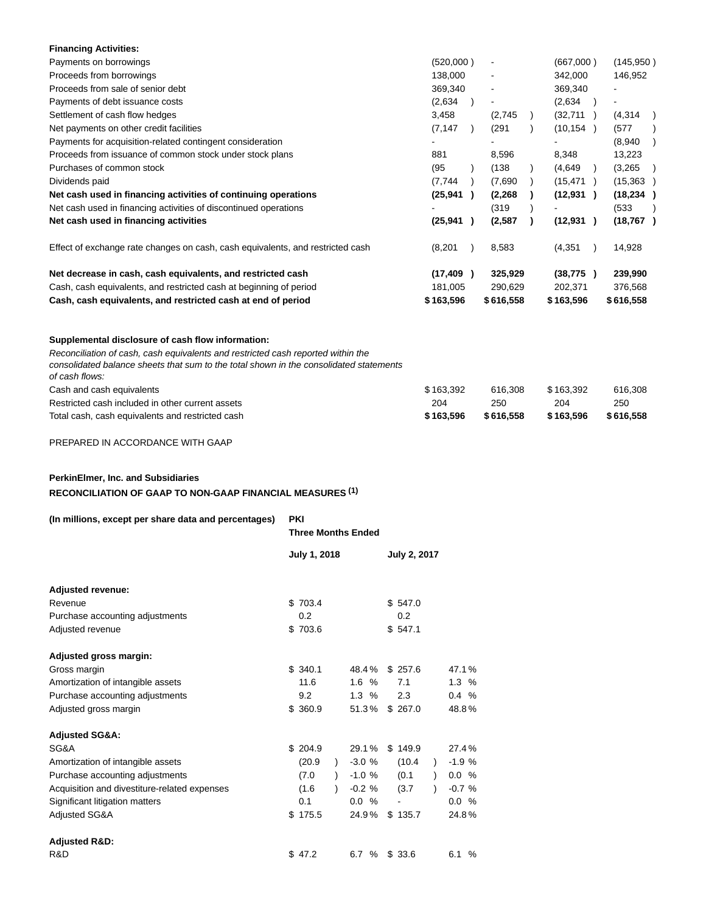| <b>Financing Activities:</b>                                                                                                                                                                                                                      |           |           |           |           |                    |  |
|---------------------------------------------------------------------------------------------------------------------------------------------------------------------------------------------------------------------------------------------------|-----------|-----------|-----------|-----------|--------------------|--|
| Payments on borrowings                                                                                                                                                                                                                            | (520,000) |           |           | (667,000) |                    |  |
| Proceeds from borrowings                                                                                                                                                                                                                          | 138,000   |           | 342,000   | 146,952   |                    |  |
| Proceeds from sale of senior debt                                                                                                                                                                                                                 | 369,340   |           | 369,340   |           |                    |  |
| Payments of debt issuance costs                                                                                                                                                                                                                   | (2,634)   |           | (2,634)   |           |                    |  |
| Settlement of cash flow hedges                                                                                                                                                                                                                    | 3,458     | (2,745)   | (32, 711) |           | (4, 314)           |  |
| Net payments on other credit facilities                                                                                                                                                                                                           | (7, 147)  | (291)     | (10, 154) |           | (577)              |  |
| Payments for acquisition-related contingent consideration                                                                                                                                                                                         |           |           |           |           | (8,940)            |  |
| Proceeds from issuance of common stock under stock plans                                                                                                                                                                                          | 881       | 8,596     | 8,348     |           | 13,223             |  |
| Purchases of common stock                                                                                                                                                                                                                         | (95)      | (138)     | (4,649)   |           | (3,265)<br>$\big)$ |  |
| Dividends paid                                                                                                                                                                                                                                    | (7,744)   | (7,690)   | (15, 471) |           | (15, 363)          |  |
| Net cash used in financing activities of continuing operations                                                                                                                                                                                    | (25, 941) | (2, 268)  | (12, 931) |           | (18, 234)          |  |
| Net cash used in financing activities of discontinued operations                                                                                                                                                                                  |           | (319)     |           |           | (533)              |  |
| Net cash used in financing activities                                                                                                                                                                                                             | (25, 941) | (2,587)   | (12, 931) |           | (18, 767)          |  |
| Effect of exchange rate changes on cash, cash equivalents, and restricted cash                                                                                                                                                                    | (8, 201)  | 8,583     | (4, 351)  |           | 14,928             |  |
| Net decrease in cash, cash equivalents, and restricted cash                                                                                                                                                                                       | (17, 409) | 325,929   | (38, 775) |           | 239,990            |  |
| Cash, cash equivalents, and restricted cash at beginning of period                                                                                                                                                                                | 181,005   | 290.629   | 202,371   |           | 376,568            |  |
| Cash, cash equivalents, and restricted cash at end of period                                                                                                                                                                                      | \$163,596 | \$616,558 | \$163,596 |           | \$616,558          |  |
| Supplemental disclosure of cash flow information:<br>Reconciliation of cash, cash equivalents and restricted cash reported within the<br>consolidated balance sheets that sum to the total shown in the consolidated statements<br>of cash flows: |           |           |           |           |                    |  |
| Cash and cash equivalents                                                                                                                                                                                                                         | \$163,392 | 616,308   | \$163,392 |           | 616,308            |  |
| Restricted cash included in other current assets                                                                                                                                                                                                  | 204       | 250       | 204       |           | 250                |  |
| Total cash, cash equivalents and restricted cash                                                                                                                                                                                                  | \$163,596 | \$616,558 | \$163,596 |           | \$616,558          |  |

PREPARED IN ACCORDANCE WITH GAAP

# **PerkinElmer, Inc. and Subsidiaries**

# **RECONCILIATION OF GAAP TO NON-GAAP FINANCIAL MEASURES (1)**

| (In millions, except per share data and percentages) | <b>PKI</b><br><b>Three Months Ended</b> |              |           |            |  |              |  |         |  |  |
|------------------------------------------------------|-----------------------------------------|--------------|-----------|------------|--|--------------|--|---------|--|--|
|                                                      |                                         | July 1, 2018 |           |            |  | July 2, 2017 |  |         |  |  |
| <b>Adjusted revenue:</b>                             |                                         |              |           |            |  |              |  |         |  |  |
| Revenue                                              |                                         | \$703.4      |           |            |  | \$547.0      |  |         |  |  |
| Purchase accounting adjustments                      |                                         | 0.2          |           |            |  | 0.2          |  |         |  |  |
| Adjusted revenue                                     |                                         | \$703.6      |           |            |  | \$547.1      |  |         |  |  |
| Adjusted gross margin:                               |                                         |              |           |            |  |              |  |         |  |  |
| Gross margin                                         |                                         | \$340.1      |           | 48.4%      |  | \$257.6      |  | 47.1%   |  |  |
| Amortization of intangible assets                    |                                         | 11.6         |           | 1.6%       |  | 7.1          |  | 1.3%    |  |  |
| Purchase accounting adjustments                      |                                         | 9.2          |           | $1.3 \, %$ |  | 2.3          |  | 0.4%    |  |  |
| Adjusted gross margin                                |                                         | \$360.9      |           | 51.3%      |  | \$267.0      |  | 48.8%   |  |  |
| <b>Adjusted SG&amp;A:</b>                            |                                         |              |           |            |  |              |  |         |  |  |
| SG&A                                                 |                                         | \$204.9      |           | 29.1%      |  | \$149.9      |  | 27.4%   |  |  |
| Amortization of intangible assets                    |                                         | (20.9)       | $\lambda$ | $-3.0%$    |  | (10.4)       |  | $-1.9%$ |  |  |
| Purchase accounting adjustments                      |                                         | (7.0)        | $\lambda$ | $-1.0%$    |  | (0.1)        |  | 0.0 %   |  |  |
| Acquisition and divestiture-related expenses         |                                         | (1.6)        | $\lambda$ | $-0.2%$    |  | (3.7)        |  | $-0.7%$ |  |  |
| Significant litigation matters                       |                                         | 0.1          |           | 0.0 %      |  |              |  | 0.0%    |  |  |
| <b>Adjusted SG&amp;A</b>                             |                                         | \$175.5      |           | 24.9%      |  | \$135.7      |  | 24.8%   |  |  |
| <b>Adjusted R&amp;D:</b>                             |                                         |              |           |            |  |              |  |         |  |  |
| R&D                                                  |                                         | \$47.2       |           | 6.7 %      |  | \$33.6       |  | 6.1%    |  |  |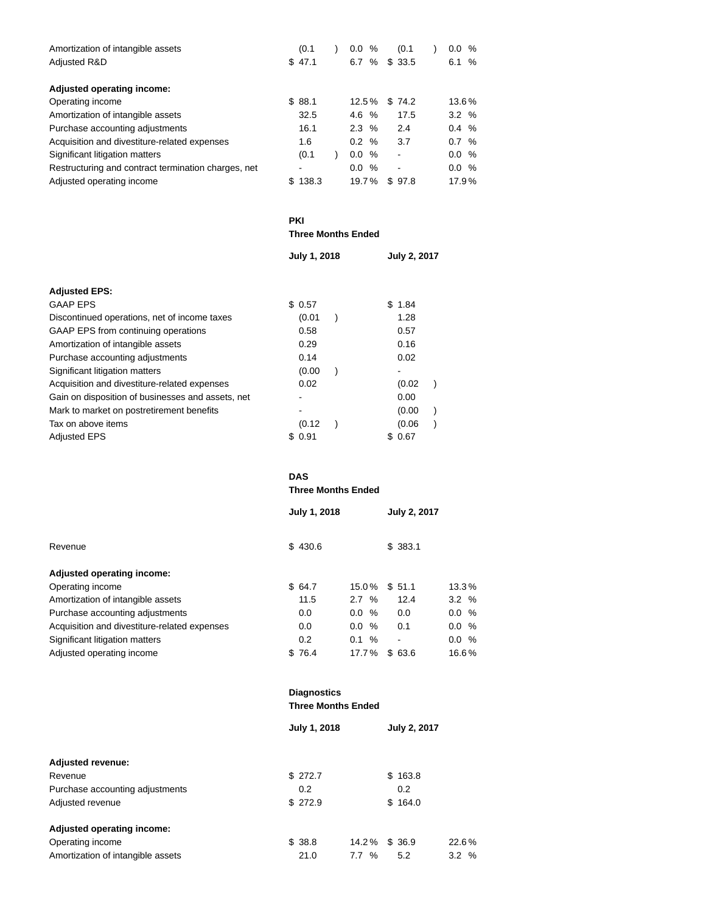| Amortization of intangible assets                   | (0.1)        | %<br>0.0 | (0.1)  | %<br>0.0 |
|-----------------------------------------------------|--------------|----------|--------|----------|
| Adjusted R&D                                        | \$47.1       | 6.7 $%$  | \$33.5 | 6.1 $%$  |
| Adjusted operating income:                          |              |          |        |          |
| Operating income                                    | \$88.1       | 12.5%    | \$74.2 | 13.6%    |
| Amortization of intangible assets                   | 32.5         | 4.6 %    | 17.5   | 3.2%     |
| Purchase accounting adjustments                     | 16.1         | $2.3\%$  | 2.4    | $0.4\%$  |
| Acquisition and divestiture-related expenses        | 1.6          | $0.2 \%$ | 3.7    | 0.7%     |
| Significant litigation matters                      | (0.1)        | 0.0%     | ۰      | 0.0<br>% |
| Restructuring and contract termination charges, net |              | 0.0 %    | ٠      | $0.0 \%$ |
| Adjusted operating income                           | 138.3<br>\$. | 19.7%    | \$97.8 | 17.9%    |

# **PKI**

|  | <b>Three Months Ended</b> |  |
|--|---------------------------|--|
|--|---------------------------|--|

**July 1, 2018 July 2, 2017**

| <b>Adjusted EPS:</b>                              |         |  |         |  |
|---------------------------------------------------|---------|--|---------|--|
| <b>GAAP EPS</b>                                   | \$ 0.57 |  | \$1.84  |  |
| Discontinued operations, net of income taxes      | (0.01)  |  | 1.28    |  |
| GAAP EPS from continuing operations               | 0.58    |  | 0.57    |  |
| Amortization of intangible assets                 | 0.29    |  | 0.16    |  |
| Purchase accounting adjustments                   | 0.14    |  | 0.02    |  |
| Significant litigation matters                    | (0.00)  |  |         |  |
| Acquisition and divestiture-related expenses      | 0.02    |  | (0.02)  |  |
| Gain on disposition of businesses and assets, net |         |  | 0.00    |  |
| Mark to market on postretirement benefits         |         |  | (0.00)  |  |
| Tax on above items                                | (0.12)  |  | (0.06)  |  |
| <b>Adjusted EPS</b>                               | \$ 0.91 |  | \$ 0.67 |  |

#### **DAS Three Months Ended**

|                                              | July 1, 2018 |       | <b>July 2, 2017</b> |       |
|----------------------------------------------|--------------|-------|---------------------|-------|
| Revenue                                      | \$430.6      |       | \$383.1             |       |
| Adjusted operating income:                   |              |       |                     |       |
| Operating income                             | \$64.7       | 15.0% | \$51.1              | 13.3% |
| Amortization of intangible assets            | 11.5         | 2.7%  | 12.4                | 3.2%  |
| Purchase accounting adjustments              | 0.0          | 0.0%  | 0.0                 | 0.0 % |
| Acquisition and divestiture-related expenses | 0.0          | 0.0 % | 0.1                 | 0.0%  |
| Significant litigation matters               | 0.2          | 0.1 % | ۰                   | 0.0%  |
| Adjusted operating income                    | \$76.4       | 17.7% | \$63.6              | 16.6% |
|                                              |              |       |                     |       |

#### **Diagnostics Three Months Ended**

|                                   | July 1, 2018 | July 2, 2017    |       |
|-----------------------------------|--------------|-----------------|-------|
| <b>Adjusted revenue:</b>          |              |                 |       |
| Revenue                           | \$272.7      | \$163.8         |       |
| Purchase accounting adjustments   | 0.2          | 0.2             |       |
| Adjusted revenue                  | \$272.9      | \$164.0         |       |
| Adjusted operating income:        |              |                 |       |
| Operating income                  | \$38.8       | \$36.9<br>14.2% | 22.6% |
| Amortization of intangible assets | 21.0         | $7.7\%$<br>5.2  | 3.2%  |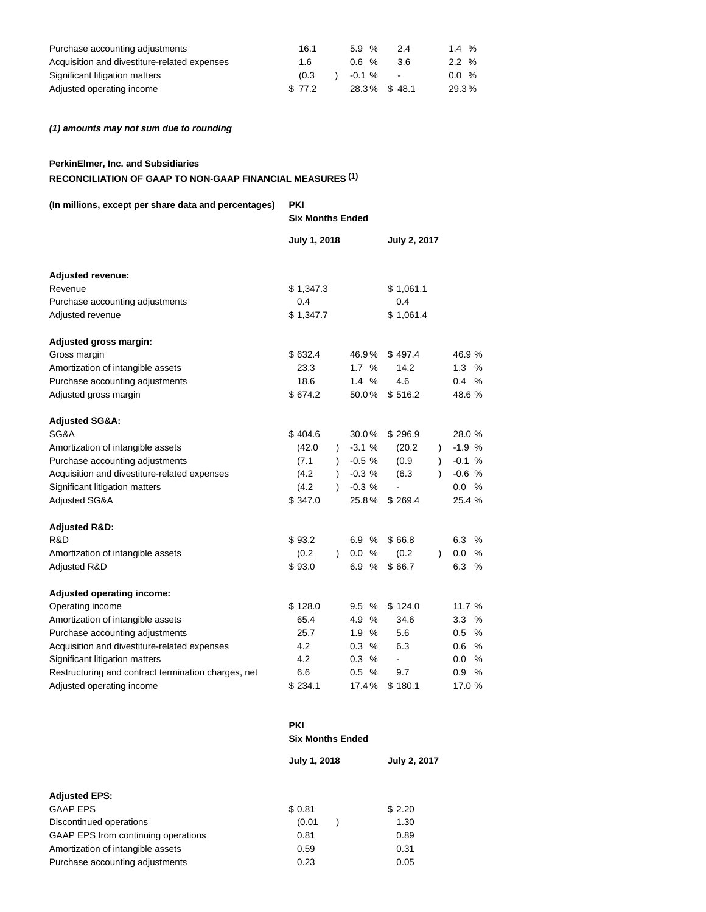| Purchase accounting adjustments              | 16.1   | 5.9 %     | 2.4          | $1.4\%$           |
|----------------------------------------------|--------|-----------|--------------|-------------------|
| Acquisition and divestiture-related expenses | 1.6    | 0.6%      | 3.6          | $2.2 \frac{9}{6}$ |
| Significant litigation matters               | (0.3)  | $0.1\%$ - |              | $0.0 \%$          |
| Adjusted operating income                    | \$77.2 |           | 28.3% \$48.1 | 29.3%             |

**(1) amounts may not sum due to rounding**

#### **PerkinElmer, Inc. and Subsidiaries**

# **RECONCILIATION OF GAAP TO NON-GAAP FINANCIAL MEASURES (1)**

| (In millions, except per share data and percentages) | <b>PKI</b><br><b>Six Months Ended</b> |               |          |                          |               |             |
|------------------------------------------------------|---------------------------------------|---------------|----------|--------------------------|---------------|-------------|
|                                                      | July 1, 2018                          |               |          | <b>July 2, 2017</b>      |               |             |
| <b>Adjusted revenue:</b>                             |                                       |               |          |                          |               |             |
| Revenue                                              | \$1,347.3                             |               |          | \$1,061.1                |               |             |
| Purchase accounting adjustments                      | 0.4                                   |               |          | 0.4                      |               |             |
| Adjusted revenue                                     | \$1,347.7                             |               |          | \$1,061.4                |               |             |
| Adjusted gross margin:                               |                                       |               |          |                          |               |             |
| Gross margin                                         | \$632.4                               |               | 46.9%    | \$497.4                  |               | 46.9 %      |
| Amortization of intangible assets                    | 23.3                                  |               | 1.7%     | 14.2                     |               | 1.3<br>%    |
| Purchase accounting adjustments                      | 18.6                                  |               | 1.4%     | 4.6                      |               | 0.4<br>$\%$ |
| Adjusted gross margin                                | \$674.2                               |               | 50.0%    | \$516.2                  |               | 48.6 %      |
| <b>Adjusted SG&amp;A:</b>                            |                                       |               |          |                          |               |             |
| SG&A                                                 | \$404.6                               |               | 30.0%    | \$296.9                  |               | 28.0 %      |
| Amortization of intangible assets                    | (42.0)                                | $\mathcal{L}$ | $-3.1%$  | (20.2)                   | $\mathcal{L}$ | $-1.9%$     |
| Purchase accounting adjustments                      | (7.1)                                 | $\mathcal{L}$ | $-0.5%$  | (0.9)                    | $\mathcal{L}$ | $-0.1%$     |
| Acquisition and divestiture-related expenses         | (4.2)                                 | $\mathcal{L}$ | $-0.3%$  | (6.3)                    | $\lambda$     | $-0.6%$     |
| Significant litigation matters                       | (4.2)                                 | $\lambda$     | $-0.3%$  | $\overline{\phantom{a}}$ |               | 0.0<br>$\%$ |
| <b>Adjusted SG&amp;A</b>                             | \$347.0                               |               | 25.8%    | \$269.4                  |               | 25.4 %      |
| <b>Adjusted R&amp;D:</b>                             |                                       |               |          |                          |               |             |
| R&D                                                  | \$93.2                                |               | 6.9%     | \$66.8                   |               | 6.3<br>%    |
| Amortization of intangible assets                    | (0.2)                                 | $\mathcal{L}$ | 0.0<br>% | (0.2)                    | $\mathcal{L}$ | 0.0<br>%    |
| Adjusted R&D                                         | \$93.0                                |               | 6.9 %    | \$66.7                   |               | 6.3<br>%    |
| <b>Adjusted operating income:</b>                    |                                       |               |          |                          |               |             |
| Operating income                                     | \$128.0                               |               | 9.5%     | \$124.0                  |               | 11.7 %      |
| Amortization of intangible assets                    | 65.4                                  |               | 4.9 %    | 34.6                     |               | 3.3<br>%    |
| Purchase accounting adjustments                      | 25.7                                  |               | 1.9%     | 5.6                      |               | 0.5<br>%    |
| Acquisition and divestiture-related expenses         | 4.2                                   |               | 0.3%     | 6.3                      |               | 0.6<br>%    |
| Significant litigation matters                       | 4.2                                   |               | 0.3%     | $\overline{\phantom{0}}$ |               | %<br>0.0    |
| Restructuring and contract termination charges, net  | 6.6                                   |               | $0.5\%$  | 9.7                      |               | 0.9<br>%    |
| Adjusted operating income                            | \$234.1                               |               | 17.4%    | \$180.1                  |               | 17.0 %      |

| PKI                     |  |
|-------------------------|--|
| <b>Six Months Ended</b> |  |

|                                     | July 1, 2018 | <b>July 2, 2017</b> |  |
|-------------------------------------|--------------|---------------------|--|
| <b>Adjusted EPS:</b>                |              |                     |  |
| <b>GAAP EPS</b>                     | \$0.81       | \$2.20              |  |
| Discontinued operations             | (0.01)       | 1.30                |  |
| GAAP EPS from continuing operations | 0.81         | 0.89                |  |
| Amortization of intangible assets   | 0.59         | 0.31                |  |
| Purchase accounting adjustments     | 0.23         | 0.05                |  |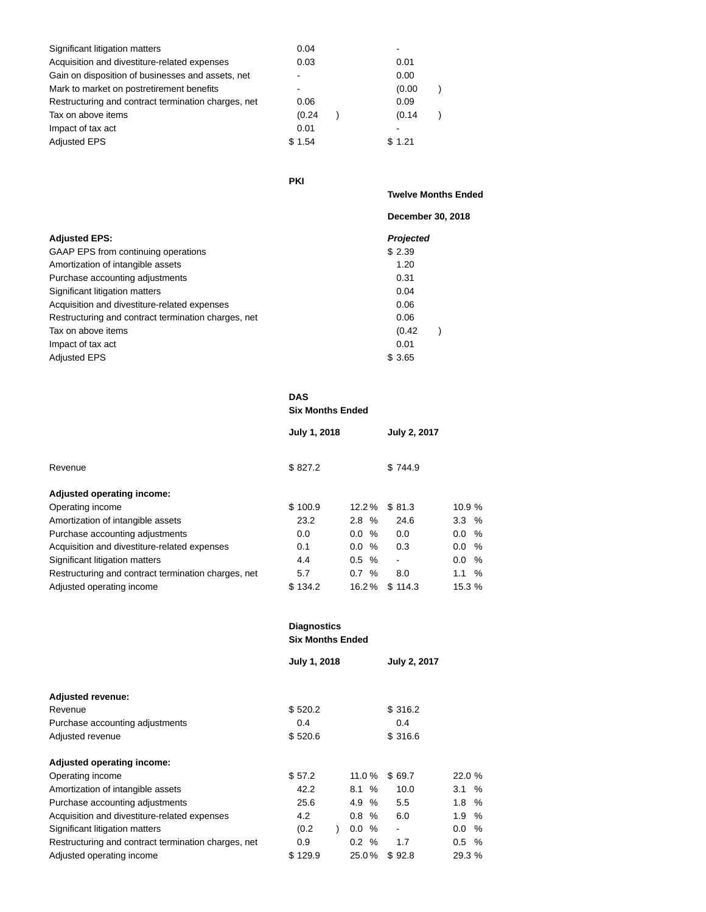| Significant litigation matters                      | 0.04   |        |
|-----------------------------------------------------|--------|--------|
| Acquisition and divestiture-related expenses        | 0.03   | 0.01   |
| Gain on disposition of businesses and assets, net   |        | 0.00   |
| Mark to market on postretirement benefits           |        | (0.00) |
| Restructuring and contract termination charges, net | 0.06   | 0.09   |
| Tax on above items                                  | (0.24) | (0.14) |
| Impact of tax act                                   | 0.01   |        |
| <b>Adjusted EPS</b>                                 | \$1.54 | \$1.21 |
|                                                     |        |        |

**PKI**

**Twelve Months Ended**

|                                                     | December 30, 2018 |
|-----------------------------------------------------|-------------------|
| <b>Adjusted EPS:</b>                                | Projected         |
| GAAP EPS from continuing operations                 | \$2.39            |
| Amortization of intangible assets                   | 1.20              |
| Purchase accounting adjustments                     | 0.31              |
| Significant litigation matters                      | 0.04              |
| Acquisition and divestiture-related expenses        | 0.06              |
| Restructuring and contract termination charges, net | 0.06              |
| Tax on above items                                  | (0.42)            |
| Impact of tax act                                   | 0.01              |
| <b>Adjusted EPS</b>                                 | \$3.65            |

**DAS**

#### **Six Months Ended**

|                                                     | July 1, 2018 |          | <b>July 2, 2017</b> |             |
|-----------------------------------------------------|--------------|----------|---------------------|-------------|
| Revenue                                             | \$827.2      |          | \$744.9             |             |
| Adjusted operating income:                          |              |          |                     |             |
| Operating income                                    | \$100.9      | 12.2%    | \$81.3              | 10.9 %      |
| Amortization of intangible assets                   | 23.2         | $2.8\%$  | 24.6                | 3.3%        |
| Purchase accounting adjustments                     | 0.0          | $0.0 \%$ | 0.0                 | 0.0<br>%    |
| Acquisition and divestiture-related expenses        | 0.1          | $0.0 \%$ | 0.3                 | 0.0<br>%    |
| Significant litigation matters                      | 4.4          | $0.5\%$  | -                   | 0.0<br>%    |
| Restructuring and contract termination charges, net | 5.7          | $0.7\%$  | 8.0                 | $\%$<br>1.1 |
| Adjusted operating income                           | \$134.2      | $16.2\%$ | \$114.3             | 15.3 %      |

# **Diagnostics Six Months Ended**

|                                                     | July 1, 2018 |          | <b>July 2, 2017</b> |          |
|-----------------------------------------------------|--------------|----------|---------------------|----------|
| <b>Adjusted revenue:</b>                            |              |          |                     |          |
| Revenue                                             | \$520.2      |          | \$316.2             |          |
| Purchase accounting adjustments                     | 0.4          |          | 0.4                 |          |
| Adjusted revenue                                    | \$520.6      |          | \$316.6             |          |
| Adjusted operating income:                          |              |          |                     |          |
| Operating income                                    | \$57.2       | 11.0 $%$ | \$69.7              | 22.0 %   |
| Amortization of intangible assets                   | 42.2         | 8.1%     | 10.0                | 3.1%     |
| Purchase accounting adjustments                     | 25.6         | 4.9 %    | 5.5                 | $1.8\%$  |
| Acquisition and divestiture-related expenses        | 4.2          | 0.8%     | 6.0                 | %<br>1.9 |
| Significant litigation matters                      | (0.2)        | $0.0 \%$ | $\blacksquare$      | $0.0\%$  |
| Restructuring and contract termination charges, net | 0.9          | 0.2 %    | 1.7                 | $0.5\%$  |
| Adjusted operating income                           | \$129.9      | 25.0%    | \$92.8              | 29.3 %   |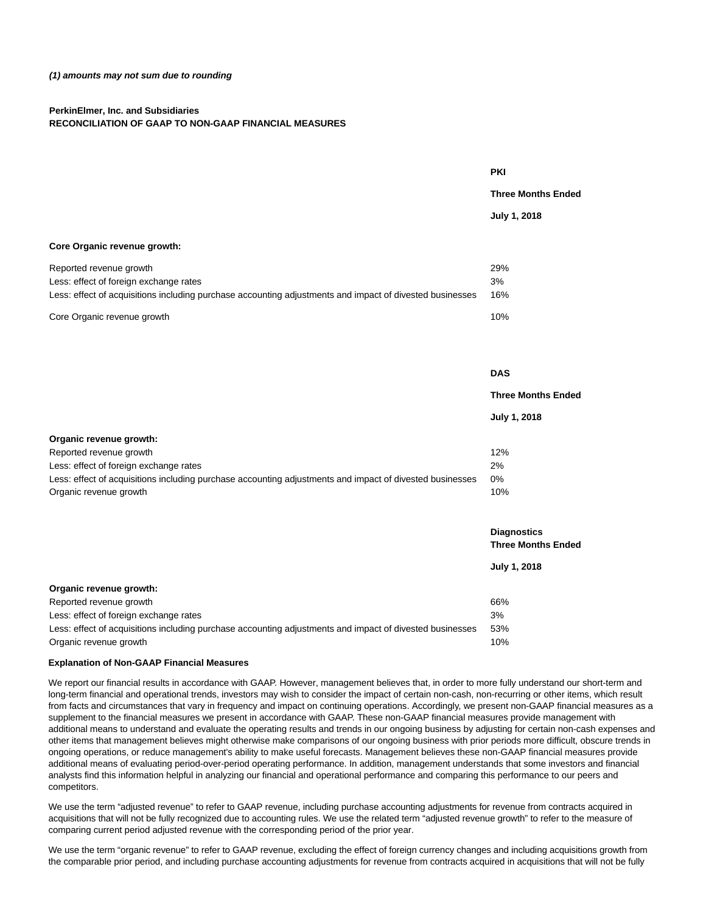#### **PerkinElmer, Inc. and Subsidiaries RECONCILIATION OF GAAP TO NON-GAAP FINANCIAL MEASURES**

|                                                                                                          | <b>PKI</b>                |
|----------------------------------------------------------------------------------------------------------|---------------------------|
|                                                                                                          | <b>Three Months Ended</b> |
|                                                                                                          | July 1, 2018              |
| Core Organic revenue growth:                                                                             |                           |
| Reported revenue growth                                                                                  | 29%                       |
| Less: effect of foreign exchange rates                                                                   | 3%                        |
| Less: effect of acquisitions including purchase accounting adjustments and impact of divested businesses | 16%                       |
| Core Organic revenue growth                                                                              | 10%                       |
|                                                                                                          |                           |
|                                                                                                          | <b>DAS</b>                |
|                                                                                                          | <b>Three Months Ended</b> |
|                                                                                                          | July 1, 2018              |
| Organic revenue growth:                                                                                  |                           |
| Reported revenue growth                                                                                  | 12%                       |
| Less: effect of foreign exchange rates                                                                   | 2%                        |
| Less: effect of acquisitions including purchase accounting adjustments and impact of divested businesses | 0%                        |
| Organic revenue growth                                                                                   | 10%                       |
|                                                                                                          | <b>Diagnostics</b>        |
|                                                                                                          | <b>Three Months Ended</b> |
|                                                                                                          | July 1, 2018              |
| Organic revenue growth:                                                                                  |                           |
| Reported revenue growth                                                                                  | 66%                       |
| Less: effect of foreign exchange rates                                                                   | 3%                        |
| Less: effect of acquisitions including purchase accounting adjustments and impact of divested businesses | 53%                       |

Organic revenue growth  $10\%$ 

#### **Explanation of Non-GAAP Financial Measures**

We report our financial results in accordance with GAAP. However, management believes that, in order to more fully understand our short-term and long-term financial and operational trends, investors may wish to consider the impact of certain non-cash, non-recurring or other items, which result from facts and circumstances that vary in frequency and impact on continuing operations. Accordingly, we present non-GAAP financial measures as a supplement to the financial measures we present in accordance with GAAP. These non-GAAP financial measures provide management with additional means to understand and evaluate the operating results and trends in our ongoing business by adjusting for certain non-cash expenses and other items that management believes might otherwise make comparisons of our ongoing business with prior periods more difficult, obscure trends in ongoing operations, or reduce management's ability to make useful forecasts. Management believes these non-GAAP financial measures provide additional means of evaluating period-over-period operating performance. In addition, management understands that some investors and financial analysts find this information helpful in analyzing our financial and operational performance and comparing this performance to our peers and competitors.

We use the term "adjusted revenue" to refer to GAAP revenue, including purchase accounting adjustments for revenue from contracts acquired in acquisitions that will not be fully recognized due to accounting rules. We use the related term "adjusted revenue growth" to refer to the measure of comparing current period adjusted revenue with the corresponding period of the prior year.

We use the term "organic revenue" to refer to GAAP revenue, excluding the effect of foreign currency changes and including acquisitions growth from the comparable prior period, and including purchase accounting adjustments for revenue from contracts acquired in acquisitions that will not be fully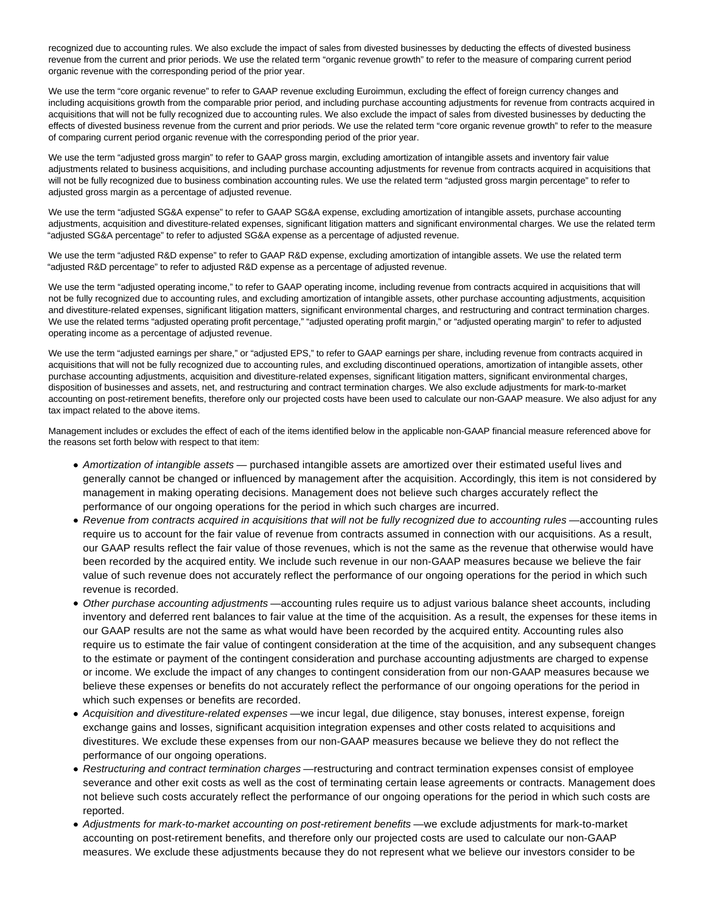recognized due to accounting rules. We also exclude the impact of sales from divested businesses by deducting the effects of divested business revenue from the current and prior periods. We use the related term "organic revenue growth" to refer to the measure of comparing current period organic revenue with the corresponding period of the prior year.

We use the term "core organic revenue" to refer to GAAP revenue excluding Euroimmun, excluding the effect of foreign currency changes and including acquisitions growth from the comparable prior period, and including purchase accounting adjustments for revenue from contracts acquired in acquisitions that will not be fully recognized due to accounting rules. We also exclude the impact of sales from divested businesses by deducting the effects of divested business revenue from the current and prior periods. We use the related term "core organic revenue growth" to refer to the measure of comparing current period organic revenue with the corresponding period of the prior year.

We use the term "adjusted gross margin" to refer to GAAP gross margin, excluding amortization of intangible assets and inventory fair value adjustments related to business acquisitions, and including purchase accounting adjustments for revenue from contracts acquired in acquisitions that will not be fully recognized due to business combination accounting rules. We use the related term "adjusted gross margin percentage" to refer to adjusted gross margin as a percentage of adjusted revenue.

We use the term "adjusted SG&A expense" to refer to GAAP SG&A expense, excluding amortization of intangible assets, purchase accounting adjustments, acquisition and divestiture-related expenses, significant litigation matters and significant environmental charges. We use the related term "adjusted SG&A percentage" to refer to adjusted SG&A expense as a percentage of adjusted revenue.

We use the term "adjusted R&D expense" to refer to GAAP R&D expense, excluding amortization of intangible assets. We use the related term "adjusted R&D percentage" to refer to adjusted R&D expense as a percentage of adjusted revenue.

We use the term "adjusted operating income," to refer to GAAP operating income, including revenue from contracts acquired in acquisitions that will not be fully recognized due to accounting rules, and excluding amortization of intangible assets, other purchase accounting adjustments, acquisition and divestiture-related expenses, significant litigation matters, significant environmental charges, and restructuring and contract termination charges. We use the related terms "adjusted operating profit percentage," "adjusted operating profit margin," or "adjusted operating margin" to refer to adjusted operating income as a percentage of adjusted revenue.

We use the term "adjusted earnings per share," or "adjusted EPS," to refer to GAAP earnings per share, including revenue from contracts acquired in acquisitions that will not be fully recognized due to accounting rules, and excluding discontinued operations, amortization of intangible assets, other purchase accounting adjustments, acquisition and divestiture-related expenses, significant litigation matters, significant environmental charges, disposition of businesses and assets, net, and restructuring and contract termination charges. We also exclude adjustments for mark-to-market accounting on post-retirement benefits, therefore only our projected costs have been used to calculate our non-GAAP measure. We also adjust for any tax impact related to the above items.

Management includes or excludes the effect of each of the items identified below in the applicable non-GAAP financial measure referenced above for the reasons set forth below with respect to that item:

- Amortization of intangible assets purchased intangible assets are amortized over their estimated useful lives and generally cannot be changed or influenced by management after the acquisition. Accordingly, this item is not considered by management in making operating decisions. Management does not believe such charges accurately reflect the performance of our ongoing operations for the period in which such charges are incurred.
- Revenue from contracts acquired in acquisitions that will not be fully recognized due to accounting rules —accounting rules require us to account for the fair value of revenue from contracts assumed in connection with our acquisitions. As a result, our GAAP results reflect the fair value of those revenues, which is not the same as the revenue that otherwise would have been recorded by the acquired entity. We include such revenue in our non-GAAP measures because we believe the fair value of such revenue does not accurately reflect the performance of our ongoing operations for the period in which such revenue is recorded.
- Other purchase accounting adjustments —accounting rules require us to adjust various balance sheet accounts, including inventory and deferred rent balances to fair value at the time of the acquisition. As a result, the expenses for these items in our GAAP results are not the same as what would have been recorded by the acquired entity. Accounting rules also require us to estimate the fair value of contingent consideration at the time of the acquisition, and any subsequent changes to the estimate or payment of the contingent consideration and purchase accounting adjustments are charged to expense or income. We exclude the impact of any changes to contingent consideration from our non-GAAP measures because we believe these expenses or benefits do not accurately reflect the performance of our ongoing operations for the period in which such expenses or benefits are recorded.
- Acquisition and divestiture-related expenses —we incur legal, due diligence, stay bonuses, interest expense, foreign exchange gains and losses, significant acquisition integration expenses and other costs related to acquisitions and divestitures. We exclude these expenses from our non-GAAP measures because we believe they do not reflect the performance of our ongoing operations.
- Restructuring and contract termination charges —restructuring and contract termination expenses consist of employee severance and other exit costs as well as the cost of terminating certain lease agreements or contracts. Management does not believe such costs accurately reflect the performance of our ongoing operations for the period in which such costs are reported.
- Adjustments for mark-to-market accounting on post-retirement benefits —we exclude adjustments for mark-to-market accounting on post-retirement benefits, and therefore only our projected costs are used to calculate our non-GAAP measures. We exclude these adjustments because they do not represent what we believe our investors consider to be